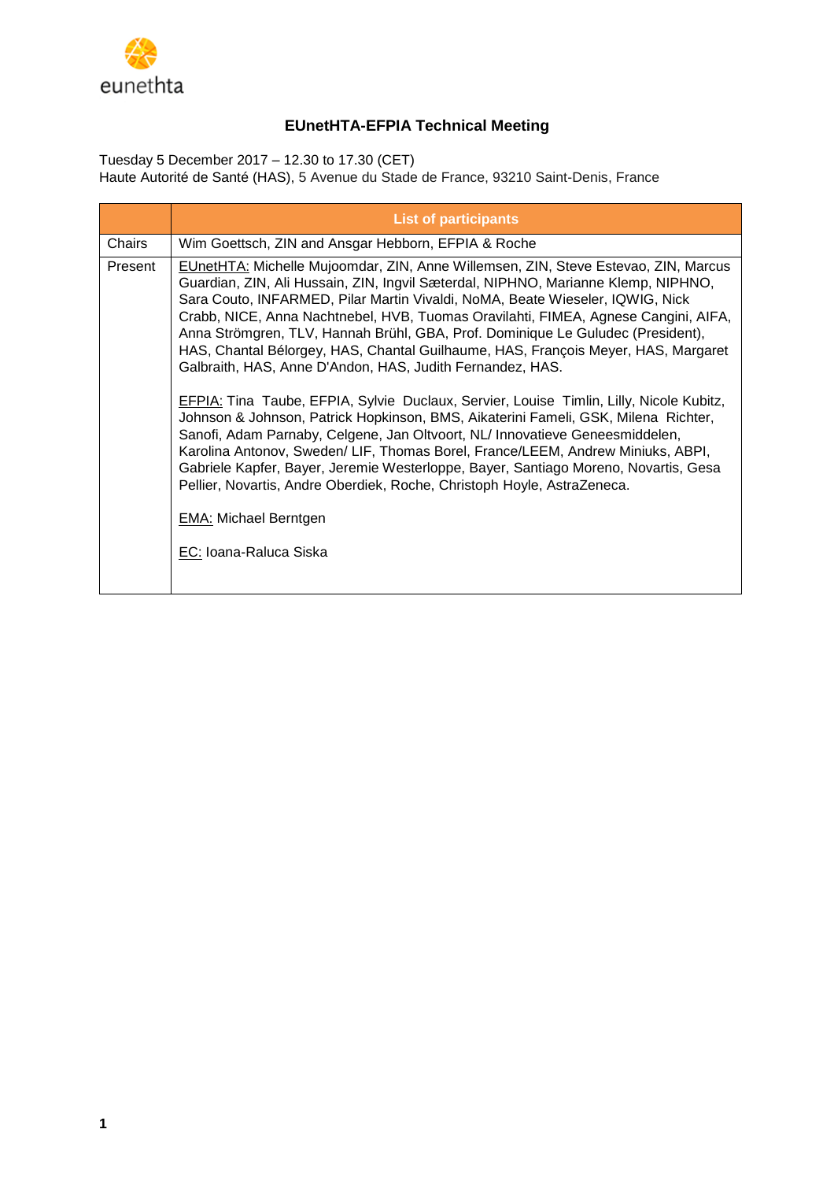

# **EUnetHTA-EFPIA Technical Meeting**

Tuesday 5 December 2017 – 12.30 to 17.30 (CET) Haute Autorité de Santé (HAS), 5 Avenue du Stade de France, 93210 Saint-Denis, France

|         | <b>List of participants</b>                                                                                                                                                                                                                                                                                                                                                                                                                                                                                                                                                                                                                                                                                                                                                                                                                                                                                                                                                                                                                                                                                                                                                |
|---------|----------------------------------------------------------------------------------------------------------------------------------------------------------------------------------------------------------------------------------------------------------------------------------------------------------------------------------------------------------------------------------------------------------------------------------------------------------------------------------------------------------------------------------------------------------------------------------------------------------------------------------------------------------------------------------------------------------------------------------------------------------------------------------------------------------------------------------------------------------------------------------------------------------------------------------------------------------------------------------------------------------------------------------------------------------------------------------------------------------------------------------------------------------------------------|
| Chairs  | Wim Goettsch, ZIN and Ansgar Hebborn, EFPIA & Roche                                                                                                                                                                                                                                                                                                                                                                                                                                                                                                                                                                                                                                                                                                                                                                                                                                                                                                                                                                                                                                                                                                                        |
| Present | EUnetHTA: Michelle Mujoomdar, ZIN, Anne Willemsen, ZIN, Steve Estevao, ZIN, Marcus<br>Guardian, ZIN, Ali Hussain, ZIN, Ingvil Sæterdal, NIPHNO, Marianne Klemp, NIPHNO,<br>Sara Couto, INFARMED, Pilar Martin Vivaldi, NoMA, Beate Wieseler, IQWIG, Nick<br>Crabb, NICE, Anna Nachtnebel, HVB, Tuomas Oravilahti, FIMEA, Agnese Cangini, AIFA,<br>Anna Strömgren, TLV, Hannah Brühl, GBA, Prof. Dominique Le Guludec (President),<br>HAS, Chantal Bélorgey, HAS, Chantal Guilhaume, HAS, François Meyer, HAS, Margaret<br>Galbraith, HAS, Anne D'Andon, HAS, Judith Fernandez, HAS.<br><b>EFPIA:</b> Tina Taube, EFPIA, Sylvie Duclaux, Servier, Louise Timlin, Lilly, Nicole Kubitz,<br>Johnson & Johnson, Patrick Hopkinson, BMS, Aikaterini Fameli, GSK, Milena Richter,<br>Sanofi, Adam Parnaby, Celgene, Jan Oltvoort, NL/ Innovatieve Geneesmiddelen,<br>Karolina Antonov, Sweden/ LIF, Thomas Borel, France/LEEM, Andrew Miniuks, ABPI,<br>Gabriele Kapfer, Bayer, Jeremie Westerloppe, Bayer, Santiago Moreno, Novartis, Gesa<br>Pellier, Novartis, Andre Oberdiek, Roche, Christoph Hoyle, AstraZeneca.<br><b>EMA: Michael Berntgen</b><br>EC: Ioana-Raluca Siska |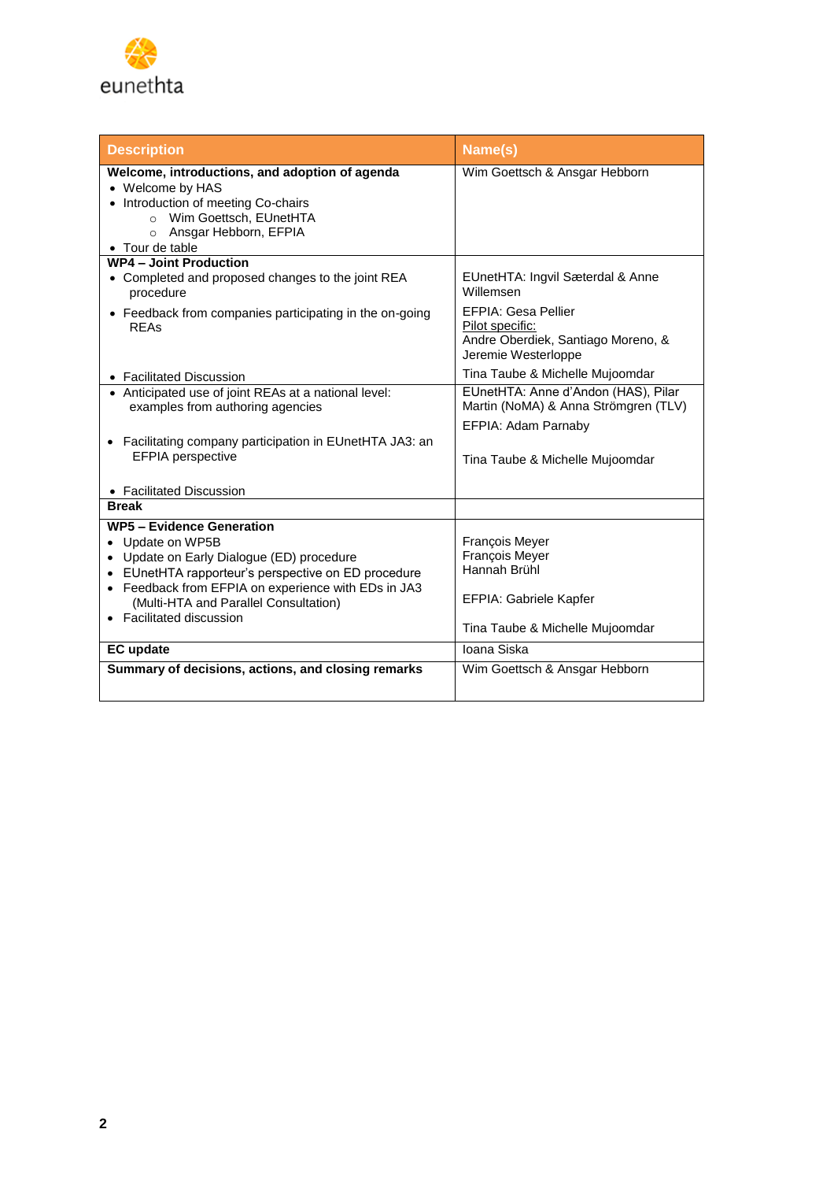

| <b>Description</b>                                                                                                                                                                                                                                                                   | Name(s)                                                                                                       |
|--------------------------------------------------------------------------------------------------------------------------------------------------------------------------------------------------------------------------------------------------------------------------------------|---------------------------------------------------------------------------------------------------------------|
| Welcome, introductions, and adoption of agenda<br>• Welcome by HAS<br>• Introduction of meeting Co-chairs<br>Wim Goettsch, EUnetHTA<br>$\circ$<br>o Ansgar Hebborn, EFPIA<br>• Tour de table                                                                                         | Wim Goettsch & Ansgar Hebborn                                                                                 |
| <b>WP4 - Joint Production</b>                                                                                                                                                                                                                                                        |                                                                                                               |
| • Completed and proposed changes to the joint REA<br>procedure                                                                                                                                                                                                                       | EUnetHTA: Ingvil Sæterdal & Anne<br>Willemsen                                                                 |
| • Feedback from companies participating in the on-going<br><b>RFAS</b>                                                                                                                                                                                                               | <b>EFPIA: Gesa Pellier</b><br>Pilot specific:<br>Andre Oberdiek, Santiago Moreno, &<br>Jeremie Westerloppe    |
| • Facilitated Discussion                                                                                                                                                                                                                                                             | Tina Taube & Michelle Mujoomdar                                                                               |
| • Anticipated use of joint REAs at a national level:<br>examples from authoring agencies                                                                                                                                                                                             | EUnetHTA: Anne d'Andon (HAS), Pilar<br>Martin (NoMA) & Anna Strömgren (TLV)                                   |
| Facilitating company participation in EUnetHTA JA3: an<br>EFPIA perspective<br>• Facilitated Discussion                                                                                                                                                                              | EFPIA: Adam Parnaby<br>Tina Taube & Michelle Mujoomdar                                                        |
| <b>Break</b>                                                                                                                                                                                                                                                                         |                                                                                                               |
| <b>WP5 - Evidence Generation</b><br>• Update on WP5B<br>• Update on Early Dialogue (ED) procedure<br>• EUnetHTA rapporteur's perspective on ED procedure<br>• Feedback from EFPIA on experience with EDs in JA3<br>(Multi-HTA and Parallel Consultation)<br>• Facilitated discussion | François Meyer<br>François Meyer<br>Hannah Brühl<br>EFPIA: Gabriele Kapfer<br>Tina Taube & Michelle Mujoomdar |
| <b>EC</b> update                                                                                                                                                                                                                                                                     | Ioana Siska                                                                                                   |
| Summary of decisions, actions, and closing remarks                                                                                                                                                                                                                                   | Wim Goettsch & Ansgar Hebborn                                                                                 |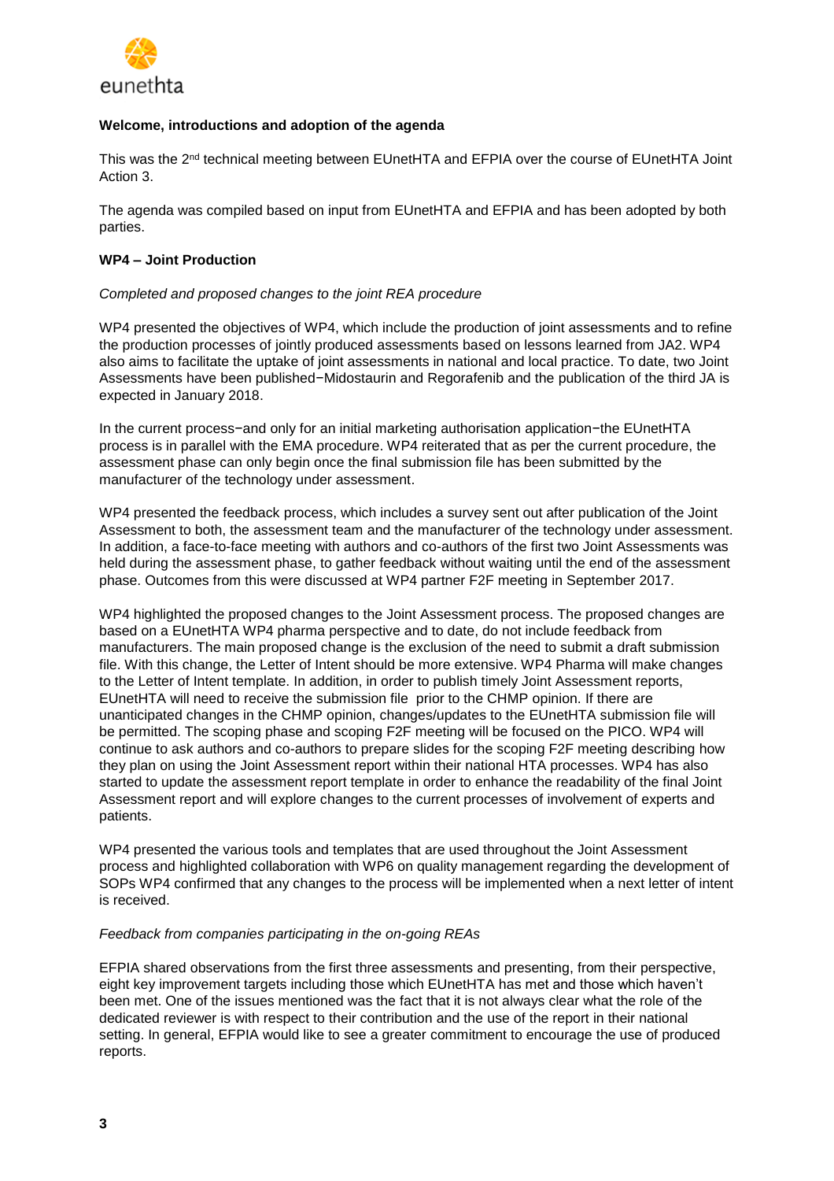

# **Welcome, introductions and adoption of the agenda**

This was the 2<sup>nd</sup> technical meeting between EUnetHTA and EFPIA over the course of EUnetHTA Joint Action 3.

The agenda was compiled based on input from EUnetHTA and EFPIA and has been adopted by both parties.

# **WP4 – Joint Production**

# *Completed and proposed changes to the joint REA procedure*

WP4 presented the objectives of WP4, which include the production of joint assessments and to refine the production processes of jointly produced assessments based on lessons learned from JA2. WP4 also aims to facilitate the uptake of joint assessments in national and local practice. To date, two Joint Assessments have been published−Midostaurin and Regorafenib and the publication of the third JA is expected in January 2018.

In the current process−and only for an initial marketing authorisation application−the EUnetHTA process is in parallel with the EMA procedure. WP4 reiterated that as per the current procedure, the assessment phase can only begin once the final submission file has been submitted by the manufacturer of the technology under assessment.

WP4 presented the feedback process, which includes a survey sent out after publication of the Joint Assessment to both, the assessment team and the manufacturer of the technology under assessment. In addition, a face-to-face meeting with authors and co-authors of the first two Joint Assessments was held during the assessment phase, to gather feedback without waiting until the end of the assessment phase. Outcomes from this were discussed at WP4 partner F2F meeting in September 2017.

WP4 highlighted the proposed changes to the Joint Assessment process. The proposed changes are based on a EUnetHTA WP4 pharma perspective and to date, do not include feedback from manufacturers. The main proposed change is the exclusion of the need to submit a draft submission file. With this change, the Letter of Intent should be more extensive. WP4 Pharma will make changes to the Letter of Intent template. In addition, in order to publish timely Joint Assessment reports, EUnetHTA will need to receive the submission file prior to the CHMP opinion. If there are unanticipated changes in the CHMP opinion, changes/updates to the EUnetHTA submission file will be permitted. The scoping phase and scoping F2F meeting will be focused on the PICO. WP4 will continue to ask authors and co-authors to prepare slides for the scoping F2F meeting describing how they plan on using the Joint Assessment report within their national HTA processes. WP4 has also started to update the assessment report template in order to enhance the readability of the final Joint Assessment report and will explore changes to the current processes of involvement of experts and patients.

WP4 presented the various tools and templates that are used throughout the Joint Assessment process and highlighted collaboration with WP6 on quality management regarding the development of SOPs WP4 confirmed that any changes to the process will be implemented when a next letter of intent is received.

# *Feedback from companies participating in the on-going REAs*

EFPIA shared observations from the first three assessments and presenting, from their perspective, eight key improvement targets including those which EUnetHTA has met and those which haven't been met. One of the issues mentioned was the fact that it is not always clear what the role of the dedicated reviewer is with respect to their contribution and the use of the report in their national setting. In general, EFPIA would like to see a greater commitment to encourage the use of produced reports.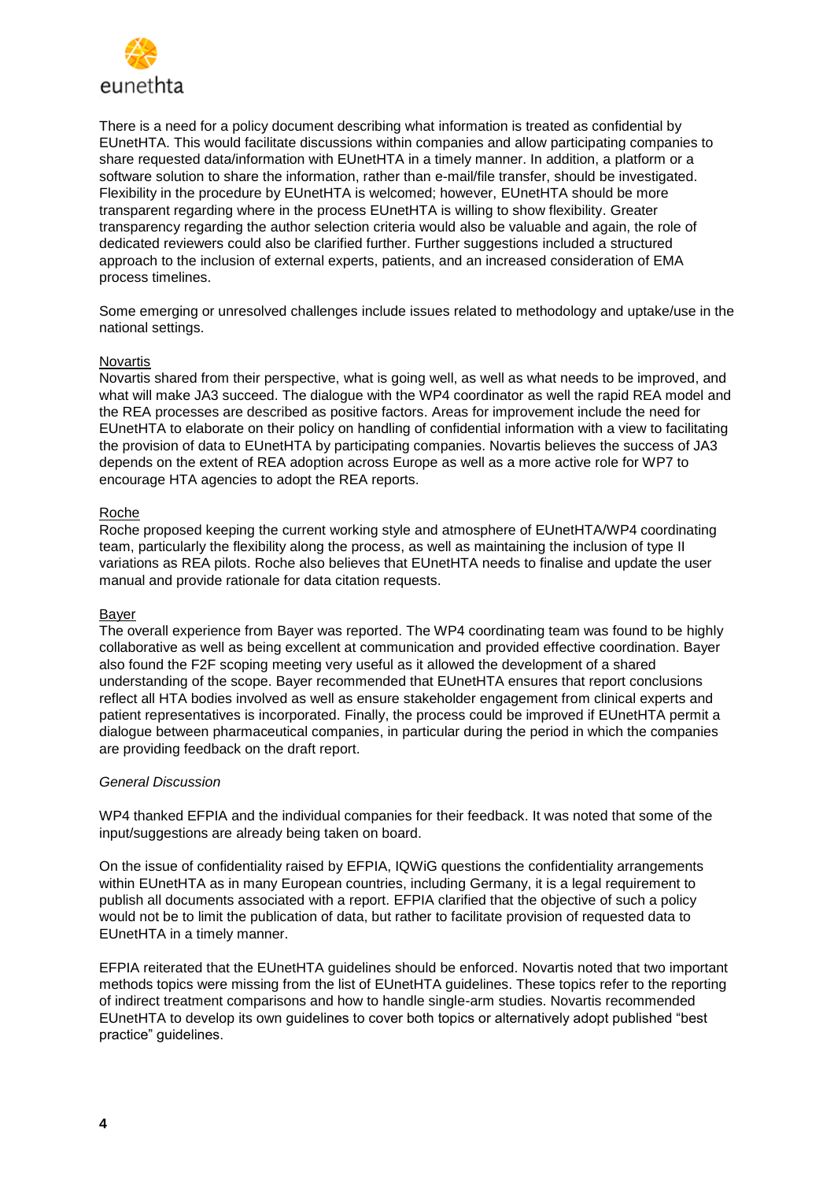

There is a need for a policy document describing what information is treated as confidential by EUnetHTA. This would facilitate discussions within companies and allow participating companies to share requested data/information with EUnetHTA in a timely manner. In addition, a platform or a software solution to share the information, rather than e-mail/file transfer, should be investigated. Flexibility in the procedure by EUnetHTA is welcomed; however, EUnetHTA should be more transparent regarding where in the process EUnetHTA is willing to show flexibility. Greater transparency regarding the author selection criteria would also be valuable and again, the role of dedicated reviewers could also be clarified further. Further suggestions included a structured approach to the inclusion of external experts, patients, and an increased consideration of EMA process timelines.

Some emerging or unresolved challenges include issues related to methodology and uptake/use in the national settings.

#### Novartis

Novartis shared from their perspective, what is going well, as well as what needs to be improved, and what will make JA3 succeed. The dialogue with the WP4 coordinator as well the rapid REA model and the REA processes are described as positive factors. Areas for improvement include the need for EUnetHTA to elaborate on their policy on handling of confidential information with a view to facilitating the provision of data to EUnetHTA by participating companies. Novartis believes the success of JA3 depends on the extent of REA adoption across Europe as well as a more active role for WP7 to encourage HTA agencies to adopt the REA reports.

## Roche

Roche proposed keeping the current working style and atmosphere of EUnetHTA/WP4 coordinating team, particularly the flexibility along the process, as well as maintaining the inclusion of type II variations as REA pilots. Roche also believes that EUnetHTA needs to finalise and update the user manual and provide rationale for data citation requests.

#### Bayer

The overall experience from Bayer was reported. The WP4 coordinating team was found to be highly collaborative as well as being excellent at communication and provided effective coordination. Bayer also found the F2F scoping meeting very useful as it allowed the development of a shared understanding of the scope. Bayer recommended that EUnetHTA ensures that report conclusions reflect all HTA bodies involved as well as ensure stakeholder engagement from clinical experts and patient representatives is incorporated. Finally, the process could be improved if EUnetHTA permit a dialogue between pharmaceutical companies, in particular during the period in which the companies are providing feedback on the draft report.

#### *General Discussion*

WP4 thanked EFPIA and the individual companies for their feedback. It was noted that some of the input/suggestions are already being taken on board.

On the issue of confidentiality raised by EFPIA, IQWiG questions the confidentiality arrangements within EUnetHTA as in many European countries, including Germany, it is a legal requirement to publish all documents associated with a report. EFPIA clarified that the objective of such a policy would not be to limit the publication of data, but rather to facilitate provision of requested data to EUnetHTA in a timely manner.

EFPIA reiterated that the EUnetHTA guidelines should be enforced. Novartis noted that two important methods topics were missing from the list of EUnetHTA guidelines. These topics refer to the reporting of indirect treatment comparisons and how to handle single-arm studies. Novartis recommended EUnetHTA to develop its own guidelines to cover both topics or alternatively adopt published "best practice" guidelines.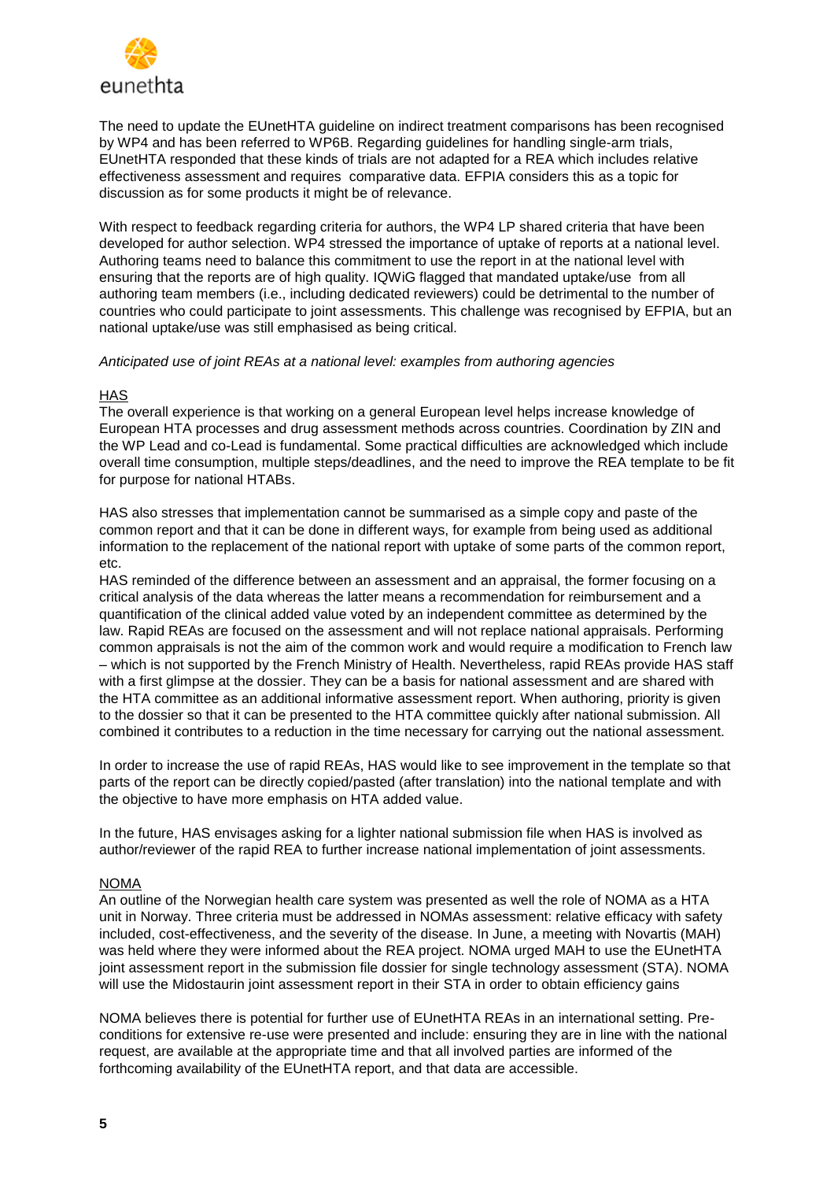

The need to update the EUnetHTA guideline on indirect treatment comparisons has been recognised by WP4 and has been referred to WP6B. Regarding guidelines for handling single-arm trials, EUnetHTA responded that these kinds of trials are not adapted for a REA which includes relative effectiveness assessment and requires comparative data. EFPIA considers this as a topic for discussion as for some products it might be of relevance.

With respect to feedback regarding criteria for authors, the WP4 LP shared criteria that have been developed for author selection. WP4 stressed the importance of uptake of reports at a national level. Authoring teams need to balance this commitment to use the report in at the national level with ensuring that the reports are of high quality. IQWiG flagged that mandated uptake/use from all authoring team members (i.e., including dedicated reviewers) could be detrimental to the number of countries who could participate to joint assessments. This challenge was recognised by EFPIA, but an national uptake/use was still emphasised as being critical.

## *Anticipated use of joint REAs at a national level: examples from authoring agencies*

# **HAS**

The overall experience is that working on a general European level helps increase knowledge of European HTA processes and drug assessment methods across countries. Coordination by ZIN and the WP Lead and co-Lead is fundamental. Some practical difficulties are acknowledged which include overall time consumption, multiple steps/deadlines, and the need to improve the REA template to be fit for purpose for national HTABs.

HAS also stresses that implementation cannot be summarised as a simple copy and paste of the common report and that it can be done in different ways, for example from being used as additional information to the replacement of the national report with uptake of some parts of the common report, etc.

HAS reminded of the difference between an assessment and an appraisal, the former focusing on a critical analysis of the data whereas the latter means a recommendation for reimbursement and a quantification of the clinical added value voted by an independent committee as determined by the law. Rapid REAs are focused on the assessment and will not replace national appraisals. Performing common appraisals is not the aim of the common work and would require a modification to French law – which is not supported by the French Ministry of Health. Nevertheless, rapid REAs provide HAS staff with a first glimpse at the dossier. They can be a basis for national assessment and are shared with the HTA committee as an additional informative assessment report. When authoring, priority is given to the dossier so that it can be presented to the HTA committee quickly after national submission. All combined it contributes to a reduction in the time necessary for carrying out the national assessment.

In order to increase the use of rapid REAs, HAS would like to see improvement in the template so that parts of the report can be directly copied/pasted (after translation) into the national template and with the objective to have more emphasis on HTA added value.

In the future, HAS envisages asking for a lighter national submission file when HAS is involved as author/reviewer of the rapid REA to further increase national implementation of joint assessments.

# NOMA

An outline of the Norwegian health care system was presented as well the role of NOMA as a HTA unit in Norway. Three criteria must be addressed in NOMAs assessment: relative efficacy with safety included, cost-effectiveness, and the severity of the disease. In June, a meeting with Novartis (MAH) was held where they were informed about the REA project. NOMA urged MAH to use the EUnetHTA joint assessment report in the submission file dossier for single technology assessment (STA). NOMA will use the Midostaurin joint assessment report in their STA in order to obtain efficiency gains

NOMA believes there is potential for further use of EUnetHTA REAs in an international setting. Preconditions for extensive re-use were presented and include: ensuring they are in line with the national request, are available at the appropriate time and that all involved parties are informed of the forthcoming availability of the EUnetHTA report, and that data are accessible.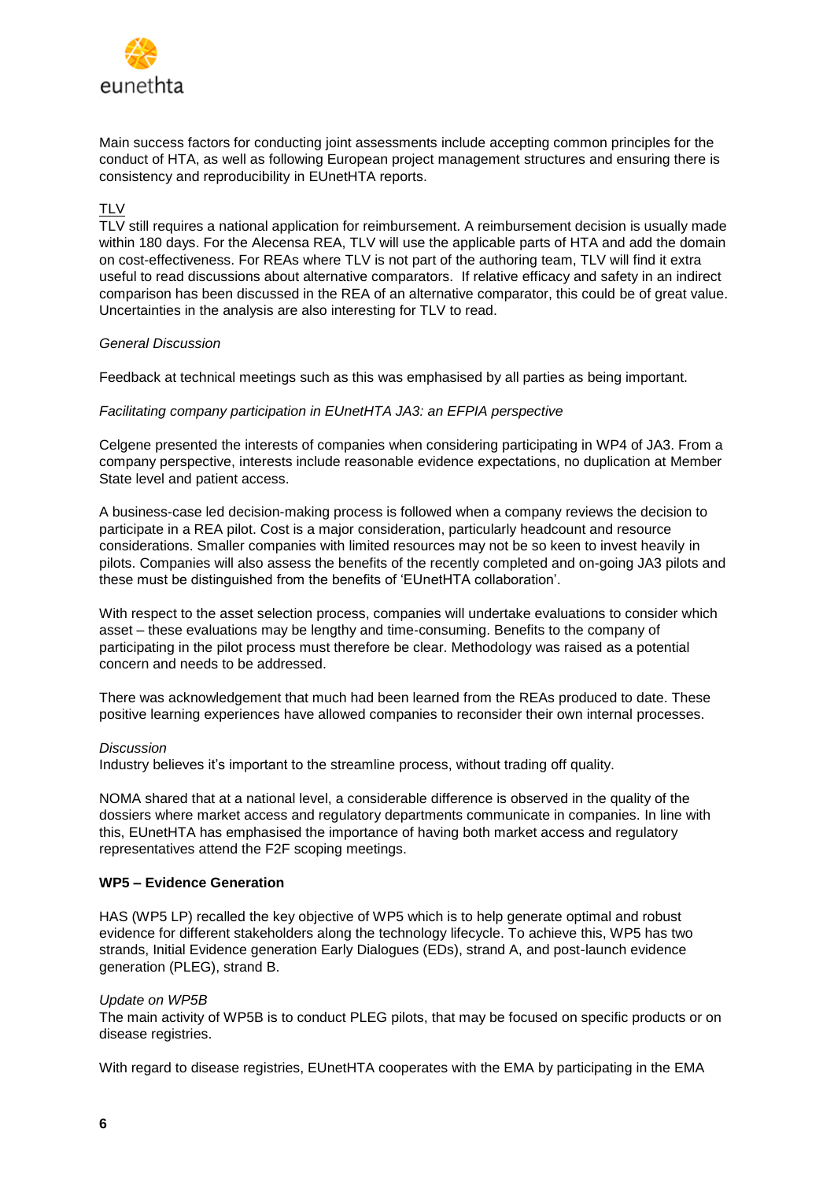

Main success factors for conducting joint assessments include accepting common principles for the conduct of HTA, as well as following European project management structures and ensuring there is consistency and reproducibility in EUnetHTA reports.

# **TLV**

TLV still requires a national application for reimbursement. A reimbursement decision is usually made within 180 days. For the Alecensa REA, TLV will use the applicable parts of HTA and add the domain on cost-effectiveness. For REAs where TLV is not part of the authoring team, TLV will find it extra useful to read discussions about alternative comparators. If relative efficacy and safety in an indirect comparison has been discussed in the REA of an alternative comparator, this could be of great value. Uncertainties in the analysis are also interesting for TLV to read.

## *General Discussion*

Feedback at technical meetings such as this was emphasised by all parties as being important.

## *Facilitating company participation in EUnetHTA JA3: an EFPIA perspective*

Celgene presented the interests of companies when considering participating in WP4 of JA3. From a company perspective, interests include reasonable evidence expectations, no duplication at Member State level and patient access.

A business-case led decision-making process is followed when a company reviews the decision to participate in a REA pilot. Cost is a major consideration, particularly headcount and resource considerations. Smaller companies with limited resources may not be so keen to invest heavily in pilots. Companies will also assess the benefits of the recently completed and on-going JA3 pilots and these must be distinguished from the benefits of 'EUnetHTA collaboration'.

With respect to the asset selection process, companies will undertake evaluations to consider which asset – these evaluations may be lengthy and time-consuming. Benefits to the company of participating in the pilot process must therefore be clear. Methodology was raised as a potential concern and needs to be addressed.

There was acknowledgement that much had been learned from the REAs produced to date. These positive learning experiences have allowed companies to reconsider their own internal processes.

#### *Discussion*

Industry believes it's important to the streamline process, without trading off quality.

NOMA shared that at a national level, a considerable difference is observed in the quality of the dossiers where market access and regulatory departments communicate in companies. In line with this, EUnetHTA has emphasised the importance of having both market access and regulatory representatives attend the F2F scoping meetings.

#### **WP5 – Evidence Generation**

HAS (WP5 LP) recalled the key objective of WP5 which is to help generate optimal and robust evidence for different stakeholders along the technology lifecycle. To achieve this, WP5 has two strands, Initial Evidence generation Early Dialogues (EDs), strand A, and post-launch evidence generation (PLEG), strand B.

#### *Update on WP5B*

The main activity of WP5B is to conduct PLEG pilots, that may be focused on specific products or on disease registries.

With regard to disease registries, EUnetHTA cooperates with the EMA by participating in the EMA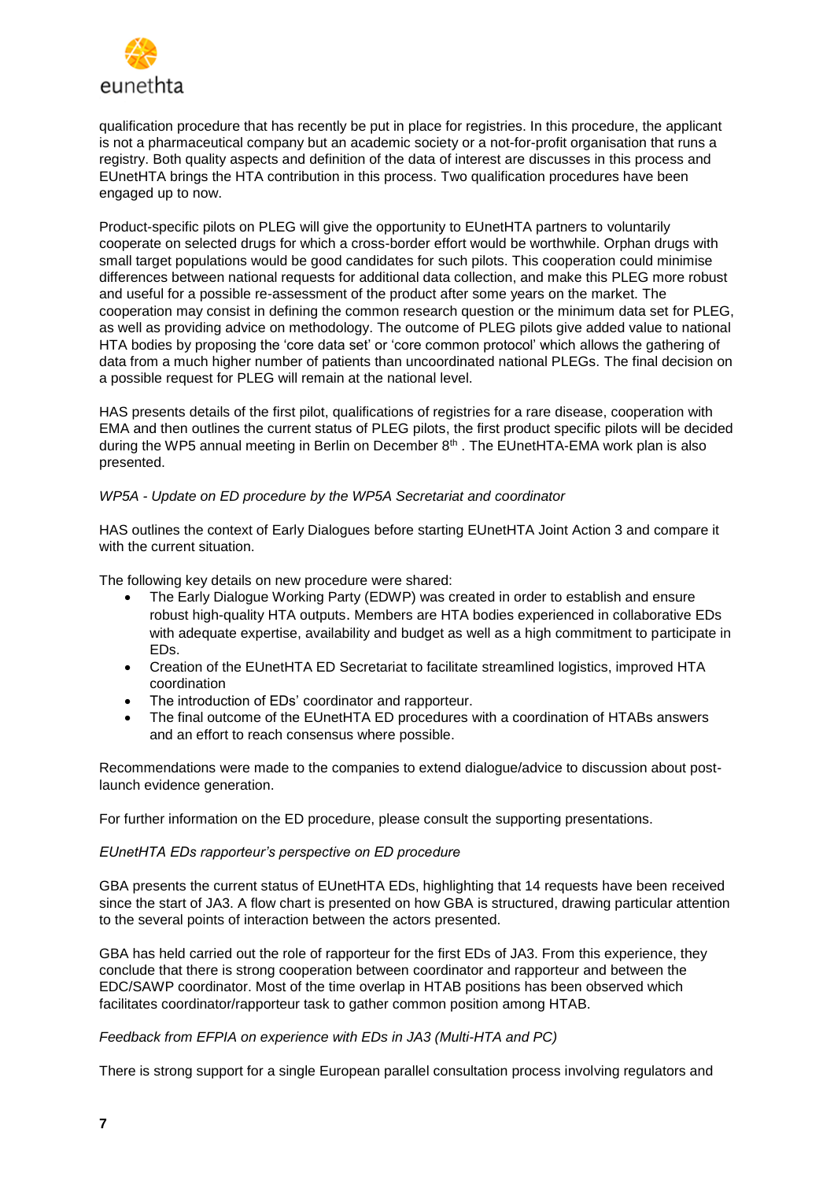

qualification procedure that has recently be put in place for registries. In this procedure, the applicant is not a pharmaceutical company but an academic society or a not-for-profit organisation that runs a registry. Both quality aspects and definition of the data of interest are discusses in this process and EUnetHTA brings the HTA contribution in this process. Two qualification procedures have been engaged up to now.

Product-specific pilots on PLEG will give the opportunity to EUnetHTA partners to voluntarily cooperate on selected drugs for which a cross-border effort would be worthwhile. Orphan drugs with small target populations would be good candidates for such pilots. This cooperation could minimise differences between national requests for additional data collection, and make this PLEG more robust and useful for a possible re-assessment of the product after some years on the market. The cooperation may consist in defining the common research question or the minimum data set for PLEG, as well as providing advice on methodology. The outcome of PLEG pilots give added value to national HTA bodies by proposing the 'core data set' or 'core common protocol' which allows the gathering of data from a much higher number of patients than uncoordinated national PLEGs. The final decision on a possible request for PLEG will remain at the national level.

HAS presents details of the first pilot, qualifications of registries for a rare disease, cooperation with EMA and then outlines the current status of PLEG pilots, the first product specific pilots will be decided during the WP5 annual meeting in Berlin on December 8<sup>th</sup> . The EUnetHTA-EMA work plan is also presented.

## *WP5A - Update on ED procedure by the WP5A Secretariat and coordinator*

HAS outlines the context of Early Dialogues before starting EUnetHTA Joint Action 3 and compare it with the current situation.

The following key details on new procedure were shared:

- The Early Dialogue Working Party (EDWP) was created in order to establish and ensure robust high-quality HTA outputs. Members are HTA bodies experienced in collaborative EDs with adequate expertise, availability and budget as well as a high commitment to participate in EDs.
- Creation of the EUnetHTA ED Secretariat to facilitate streamlined logistics, improved HTA coordination
- The introduction of EDs' coordinator and rapporteur.
- The final outcome of the EUnetHTA ED procedures with a coordination of HTABs answers and an effort to reach consensus where possible.

Recommendations were made to the companies to extend dialogue/advice to discussion about postlaunch evidence generation.

For further information on the ED procedure, please consult the supporting presentations.

#### *EUnetHTA EDs rapporteur's perspective on ED procedure*

GBA presents the current status of EUnetHTA EDs, highlighting that 14 requests have been received since the start of JA3. A flow chart is presented on how GBA is structured, drawing particular attention to the several points of interaction between the actors presented.

GBA has held carried out the role of rapporteur for the first EDs of JA3. From this experience, they conclude that there is strong cooperation between coordinator and rapporteur and between the EDC/SAWP coordinator. Most of the time overlap in HTAB positions has been observed which facilitates coordinator/rapporteur task to gather common position among HTAB.

## *Feedback from EFPIA on experience with EDs in JA3 (Multi-HTA and PC)*

There is strong support for a single European parallel consultation process involving regulators and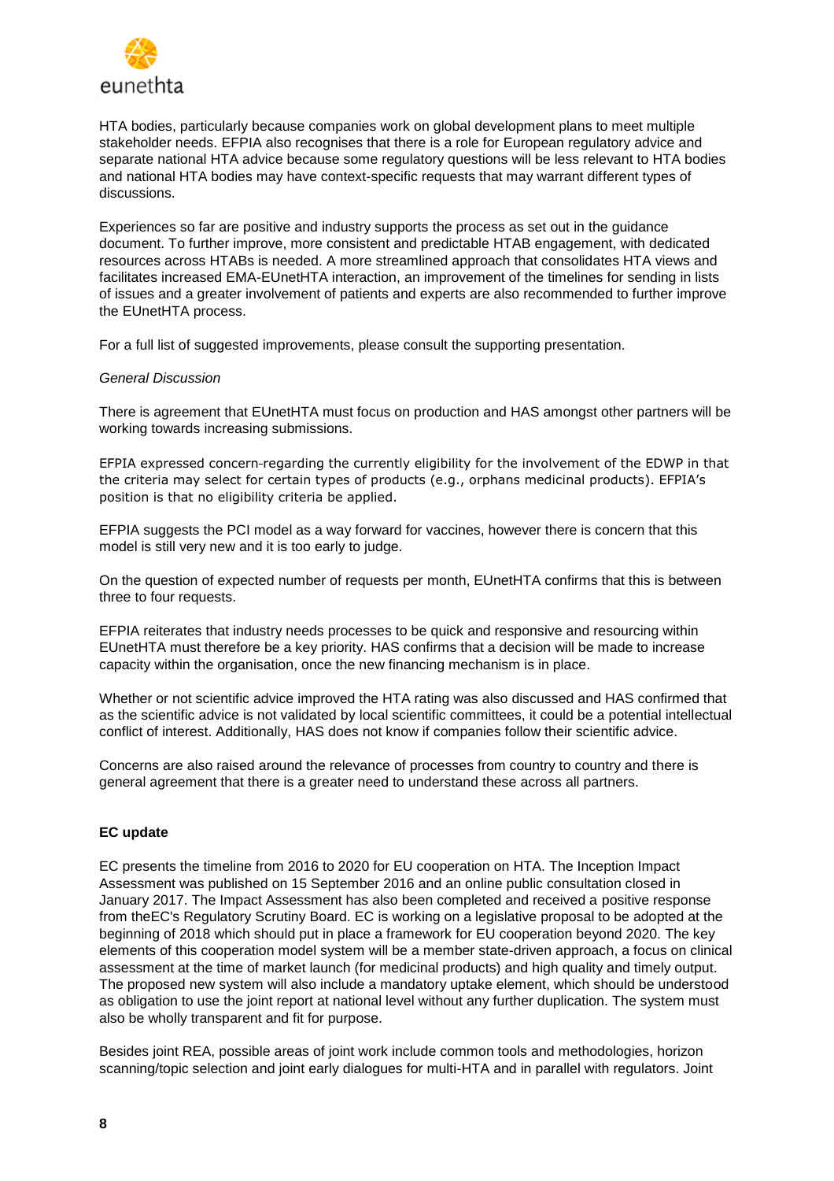

HTA bodies, particularly because companies work on global development plans to meet multiple stakeholder needs. EFPIA also recognises that there is a role for European regulatory advice and separate national HTA advice because some regulatory questions will be less relevant to HTA bodies and national HTA bodies may have context-specific requests that may warrant different types of discussions.

Experiences so far are positive and industry supports the process as set out in the guidance document. To further improve, more consistent and predictable HTAB engagement, with dedicated resources across HTABs is needed. A more streamlined approach that consolidates HTA views and facilitates increased EMA-EUnetHTA interaction, an improvement of the timelines for sending in lists of issues and a greater involvement of patients and experts are also recommended to further improve the EUnetHTA process.

For a full list of suggested improvements, please consult the supporting presentation.

## *General Discussion*

There is agreement that EUnetHTA must focus on production and HAS amongst other partners will be working towards increasing submissions.

EFPIA expressed concern regarding the currently eligibility for the involvement of the EDWP in that the criteria may select for certain types of products (e.g., orphans medicinal products). EFPIA's position is that no eligibility criteria be applied.

EFPIA suggests the PCI model as a way forward for vaccines, however there is concern that this model is still very new and it is too early to judge.

On the question of expected number of requests per month, EUnetHTA confirms that this is between three to four requests.

EFPIA reiterates that industry needs processes to be quick and responsive and resourcing within EUnetHTA must therefore be a key priority. HAS confirms that a decision will be made to increase capacity within the organisation, once the new financing mechanism is in place.

Whether or not scientific advice improved the HTA rating was also discussed and HAS confirmed that as the scientific advice is not validated by local scientific committees, it could be a potential intellectual conflict of interest. Additionally, HAS does not know if companies follow their scientific advice.

Concerns are also raised around the relevance of processes from country to country and there is general agreement that there is a greater need to understand these across all partners.

#### **EC update**

EC presents the timeline from 2016 to 2020 for EU cooperation on HTA. The Inception Impact Assessment was published on 15 September 2016 and an online public consultation closed in January 2017. The Impact Assessment has also been completed and received a positive response from theEC's Regulatory Scrutiny Board. EC is working on a legislative proposal to be adopted at the beginning of 2018 which should put in place a framework for EU cooperation beyond 2020. The key elements of this cooperation model system will be a member state-driven approach, a focus on clinical assessment at the time of market launch (for medicinal products) and high quality and timely output. The proposed new system will also include a mandatory uptake element, which should be understood as obligation to use the joint report at national level without any further duplication. The system must also be wholly transparent and fit for purpose.

Besides joint REA, possible areas of joint work include common tools and methodologies, horizon scanning/topic selection and joint early dialogues for multi-HTA and in parallel with regulators. Joint